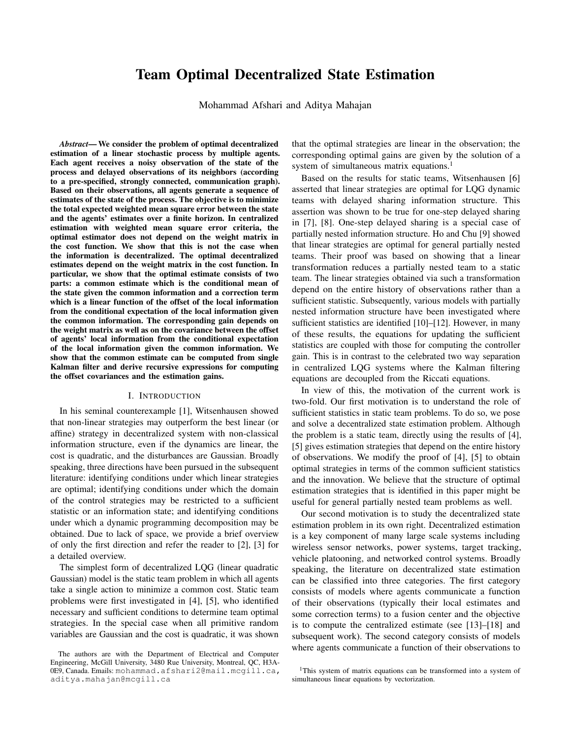# Team Optimal Decentralized State Estimation

Mohammad Afshari and Aditya Mahajan

*Abstract*— We consider the problem of optimal decentralized estimation of a linear stochastic process by multiple agents. Each agent receives a noisy observation of the state of the process and delayed observations of its neighbors (according to a pre-specified, strongly connected, communication graph). Based on their observations, all agents generate a sequence of estimates of the state of the process. The objective is to minimize the total expected weighted mean square error between the state and the agents' estimates over a finite horizon. In centralized estimation with weighted mean square error criteria, the optimal estimator does not depend on the weight matrix in the cost function. We show that this is not the case when the information is decentralized. The optimal decentralized estimates depend on the weight matrix in the cost function. In particular, we show that the optimal estimate consists of two parts: a common estimate which is the conditional mean of the state given the common information and a correction term which is a linear function of the offset of the local information from the conditional expectation of the local information given the common information. The corresponding gain depends on the weight matrix as well as on the covariance between the offset of agents' local information from the conditional expectation of the local information given the common information. We show that the common estimate can be computed from single Kalman filter and derive recursive expressions for computing the offset covariances and the estimation gains.

#### I. INTRODUCTION

In his seminal counterexample [1], Witsenhausen showed that non-linear strategies may outperform the best linear (or affine) strategy in decentralized system with non-classical information structure, even if the dynamics are linear, the cost is quadratic, and the disturbances are Gaussian. Broadly speaking, three directions have been pursued in the subsequent literature: identifying conditions under which linear strategies are optimal; identifying conditions under which the domain of the control strategies may be restricted to a sufficient statistic or an information state; and identifying conditions under which a dynamic programming decomposition may be obtained. Due to lack of space, we provide a brief overview of only the first direction and refer the reader to [2], [3] for a detailed overview.

The simplest form of decentralized LQG (linear quadratic Gaussian) model is the static team problem in which all agents take a single action to minimize a common cost. Static team problems were first investigated in [4], [5], who identified necessary and sufficient conditions to determine team optimal strategies. In the special case when all primitive random variables are Gaussian and the cost is quadratic, it was shown that the optimal strategies are linear in the observation; the corresponding optimal gains are given by the solution of a system of simultaneous matrix equations.<sup>1</sup>

Based on the results for static teams, Witsenhausen [6] asserted that linear strategies are optimal for LQG dynamic teams with delayed sharing information structure. This assertion was shown to be true for one-step delayed sharing in [7], [8]. One-step delayed sharing is a special case of partially nested information structure. Ho and Chu [9] showed that linear strategies are optimal for general partially nested teams. Their proof was based on showing that a linear transformation reduces a partially nested team to a static team. The linear strategies obtained via such a transformation depend on the entire history of observations rather than a sufficient statistic. Subsequently, various models with partially nested information structure have been investigated where sufficient statistics are identified [10]–[12]. However, in many of these results, the equations for updating the sufficient statistics are coupled with those for computing the controller gain. This is in contrast to the celebrated two way separation in centralized LQG systems where the Kalman filtering equations are decoupled from the Riccati equations.

In view of this, the motivation of the current work is two-fold. Our first motivation is to understand the role of sufficient statistics in static team problems. To do so, we pose and solve a decentralized state estimation problem. Although the problem is a static team, directly using the results of [4], [5] gives estimation strategies that depend on the entire history of observations. We modify the proof of [4], [5] to obtain optimal strategies in terms of the common sufficient statistics and the innovation. We believe that the structure of optimal estimation strategies that is identified in this paper might be useful for general partially nested team problems as well.

Our second motivation is to study the decentralized state estimation problem in its own right. Decentralized estimation is a key component of many large scale systems including wireless sensor networks, power systems, target tracking, vehicle platooning, and networked control systems. Broadly speaking, the literature on decentralized state estimation can be classified into three categories. The first category consists of models where agents communicate a function of their observations (typically their local estimates and some correction terms) to a fusion center and the objective is to compute the centralized estimate (see [13]–[18] and subsequent work). The second category consists of models where agents communicate a function of their observations to

The authors are with the Department of Electrical and Computer Engineering, McGill University, 3480 Rue University, Montreal, QC, H3A-0E9, Canada. Emails: mohammad.afshari2@mail.mcgill.ca, aditya.mahajan@mcgill.ca

<sup>&</sup>lt;sup>1</sup>This system of matrix equations can be transformed into a system of simultaneous linear equations by vectorization.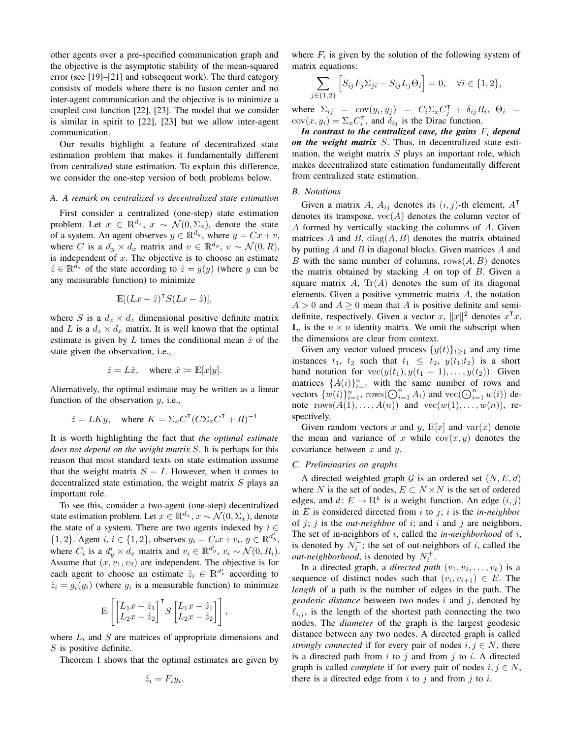other agents over a pre-specified communication graph and the objective is the asymptotic stability of the mean-squared error (see [19]–[21] and subsequent work). The third category consists of models where there is no fusion center and no inter-agent communication and the objective is to minimize a coupled cost function [22], [23]. The model that we consider is similar in spirit to [22], [23] but we allow inter-agent communication.

Our results highlight a feature of decentralized state estimation problem that makes it fundamentally different from centralized state estimation. To explain this difference, we consider the one-step version of both problems below.

#### *A. A remark on centralized vs decentralized state estimation*

First consider a centralized (one-step) state estimation problem. Let  $x \in \mathbb{R}^{d_x}$ ,  $x \sim \mathcal{N}(0, \Sigma_x)$ , denote the state of a system. An agent observes  $y \in \mathbb{R}^{d_y}$ , where  $y = Cx + v$ , where C is a  $d_y \times d_x$  matrix and  $v \in \mathbb{R}^{d_y}$ ,  $v \sim \mathcal{N}(0, R)$ , is independent of  $x$ . The objective is to choose an estimate  $\hat{z} \in \mathbb{R}^{d_z}$  of the state according to  $\hat{z} = g(y)$  (where g can be any measurable function) to minimize

$$
\mathbb{E}[(Lx - \hat{z})^{\mathsf{T}}S(Lx - \hat{z})],
$$

where S is a  $d_z \times d_z$  dimensional positive definite matrix and L is a  $d_z \times d_x$  matrix. It is well known that the optimal estimate is given by  $L$  times the conditional mean  $\hat{x}$  of the state given the observation, i.e.,

$$
\hat{z} = L\hat{x}
$$
, where  $\hat{x} := \mathbb{E}[x|y]$ .

Alternatively, the optimal estimate may be written as a linear function of the observation  $y$ , i.e.,

$$
\hat{z} = LKy
$$
, where  $K = \Sigma_x C^{\mathsf{T}} (C\Sigma_x C^{\mathsf{T}} + R)^{-1}$ 

It is worth highlighting the fact that *the optimal estimate does not depend on the weight matrix* S. It is perhaps for this reason that most standard texts on state estimation assume that the weight matrix  $S = I$ . However, when it comes to decentralized state estimation, the weight matrix  $S$  plays an important role.

To see this, consider a two-agent (one-step) decentralized state estimation problem. Let  $x \in \mathbb{R}^{d_x}, x \sim \mathcal{N}(0, \Sigma_x)$ , denote the state of a system. There are two agents indexed by  $i \in$ {1, 2}. Agent *i*, *i*  $\in$  {1, 2}, observes  $y_i = C_i x + v_i, y \in \mathbb{R}^{d_y^i}$ , where  $C_i$  is a  $d_y^i \times d_x$  matrix and  $v_i \in \mathbb{R}^{d_y^i}$ ,  $v_i \sim \mathcal{N}(0, R_i)$ . Assume that  $(x, v_1, v_2)$  are independent. The objective is for each agent to choose an estimate  $\hat{z}_i \in \mathbb{R}^{d_z^i}$  according to  $\hat{z}_i = g_i(y_i)$  (where  $g_i$  is a measurable function) to minimize

$$
\mathbb{E}\left[\begin{bmatrix}L_1x-\hat{z}_1\\L_2x-\hat{z}_2\end{bmatrix}^\mathsf{T} S\begin{bmatrix}L_1x-\hat{z}_1\\L_2x-\hat{z}_2\end{bmatrix}\right],
$$

where  $L_i$  and  $S$  are matrices of appropriate dimensions and  $S$  is positive definite.

Theorem 1 shows that the optimal estimates are given by

$$
\hat{z}_i = F_i y_i,
$$

where  $F_i$  is given by the solution of the following system of matrix equations:

$$
\sum_{j \in \{1,2\}} \left[ S_{ij} F_j \Sigma_{ji} - S_{ij} L_j \Theta_i \right] = 0, \quad \forall i \in \{1,2\},
$$

where  $\Sigma_{ij} = \text{cov}(y_i, y_j) = C_i \Sigma_x C_j^{\mathsf{T}} + \delta_{ij} R_i, \Theta_i =$  $cov(x, y_i) = \Sigma_x C_i^{\mathsf{T}}$  $i_i^{\mathsf{T}}$ , and  $\delta_{ij}$  is the Dirac function.

In contrast to the centralized case, the gains  $F_i$  depend *on the weight matrix* S. Thus, in decentralized state estimation, the weight matrix  $S$  plays an important role, which makes decentralized state estimation fundamentally different from centralized state estimation.

#### *B. Notations*

Given a matrix A,  $A_{ij}$  denotes its  $(i, j)$ -th element,  $A^{\mathsf{T}}$ denotes its transpose,  $vec(A)$  denotes the column vector of A formed by vertically stacking the columns of A. Given matrices A and B,  $diag(A, B)$  denotes the matrix obtained by putting  $A$  and  $B$  in diagonal blocks. Given matrices  $A$  and B with the same number of columns,  $rows(A, B)$  denotes the matrix obtained by stacking  $A$  on top of  $B$ . Given a square matrix A,  $Tr(A)$  denotes the sum of its diagonal elements. Given a positive symmetric matrix A, the notation  $A > 0$  and  $A > 0$  mean that A is positive definite and semidefinite, respectively. Given a vector x,  $||x||^2$  denotes  $x^{\mathsf{T}} x$ .  $I_n$  is the  $n \times n$  identity matrix. We omit the subscript when the dimensions are clear from context.

Given any vector valued process  $\{y(t)\}_{t>1}$  and any time instances  $t_1$ ,  $t_2$  such that  $t_1 \leq t_2$ ,  $y(t_1:t_2)$  is a short hand notation for  $\text{vec}(y(t_1), y(t_1 + 1), \ldots, y(t_2))$ . Given matrices  $\{A(i)\}_{i=1}^n$  with the same number of rows and vectors  $\{w(i)\}_{i=1}^n$ , rows $(\bigodot_{i=1}^n A_i)$  and  $\text{vec}(\bigodot_{i=1}^n w(i))$  denote  $rows(A(1),...,A(n))$  and  $vec(w(1),...,w(n))$ , respectively.

Given random vectors x and y,  $\mathbb{E}[x]$  and  $\text{var}(x)$  denote the mean and variance of x while  $cov(x, y)$  denotes the covariance between  $x$  and  $y$ .

## *C. Preliminaries on graphs*

A directed weighted graph G is an ordered set  $(N, E, d)$ where N is the set of nodes,  $E \subset N \times N$  is the set of ordered edges, and  $d: E \to \mathbb{R}^k$  is a weight function. An edge  $(i, j)$ in E is considered directed from i to j; i is the *in-neighbor* of  $j$ ;  $j$  is the *out-neighbor* of  $i$ ; and  $i$  and  $j$  are neighbors. The set of in-neighbors of i, called the *in-neighborhood* of i, is denoted by  $N_i^-$ ; the set of out-neighbors of i, called the *out-neighborhood*, is denoted by  $N_i^+$ .

In a directed graph, a *directed path*  $(v_1, v_2, \ldots, v_k)$  is a sequence of distinct nodes such that  $(v_i, v_{i+1}) \in E$ . The *length* of a path is the number of edges in the path. The *geodesic distance* between two nodes i and j, denoted by  $\ell_{i,j}$ , is the length of the shortest path connecting the two nodes. The *diameter* of the graph is the largest geodesic distance between any two nodes. A directed graph is called *strongly connected* if for every pair of nodes  $i, j \in N$ , there is a directed path from  $i$  to  $j$  and from  $j$  to  $i$ . A directed graph is called *complete* if for every pair of nodes  $i, j \in N$ , there is a directed edge from  $i$  to  $j$  and from  $j$  to  $i$ .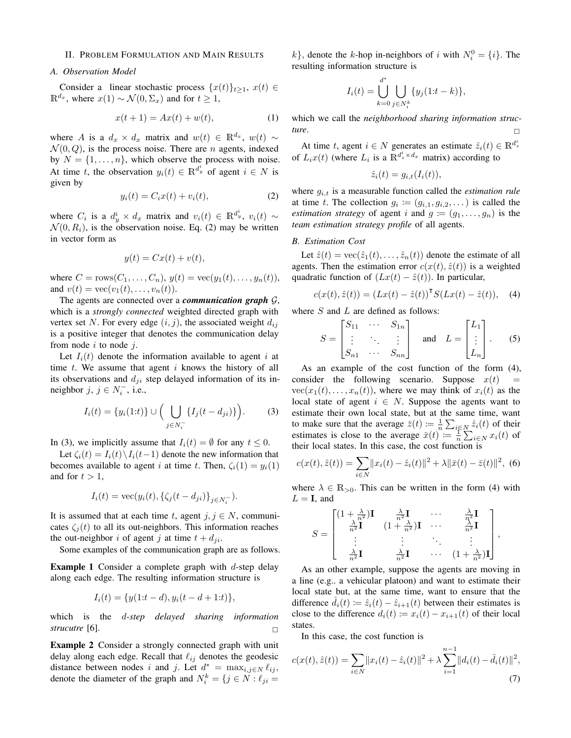## II. PROBLEM FORMULATION AND MAIN RESULTS

# *A. Observation Model*

Consider a linear stochastic process  $\{x(t)\}_{t\geq 1}$ ,  $x(t) \in$  $\mathbb{R}^{d_x}$ , where  $x(1) \sim \mathcal{N}(0, \Sigma_x)$  and for  $t > 1$ ,

$$
x(t+1) = Ax(t) + w(t),
$$
 (1)

where A is a  $d_x \times d_x$  matrix and  $w(t) \in \mathbb{R}^{d_x}$ ,  $w(t) \sim$  $\mathcal{N}(0, Q)$ , is the process noise. There are *n* agents, indexed by  $N = \{1, \ldots, n\}$ , which observe the process with noise. At time t, the observation  $y_i(t) \in \mathbb{R}^{d_y^i}$  of agent  $i \in N$  is given by

$$
y_i(t) = C_i x(t) + v_i(t), \qquad (2)
$$

where  $C_i$  is a  $d_y^i \times d_x$  matrix and  $v_i(t) \in \mathbb{R}^{d_y^i}$ ,  $v_i(t) \sim$  $\mathcal{N}(0, R_i)$ , is the observation noise. Eq. (2) may be written in vector form as

$$
y(t) = Cx(t) + v(t),
$$

where  $C = \text{rows}(C_1, ..., C_n)$ ,  $y(t) = \text{vec}(y_1(t), ..., y_n(t))$ , and  $v(t) = \text{vec}(v_1(t), \dots, v_n(t)).$ 

The agents are connected over a *communication graph* G, which is a *strongly connected* weighted directed graph with vertex set N. For every edge  $(i, j)$ , the associated weight  $d_{ij}$ is a positive integer that denotes the communication delay from node  $i$  to node  $j$ .

Let  $I_i(t)$  denote the information available to agent i at time  $t$ . We assume that agent  $i$  knows the history of all its observations and  $d_{ji}$  step delayed information of its inneighbor  $j, j \in N_i^-$ , i.e.,

$$
I_i(t) = \{y_i(1:t)\} \cup \Big(\bigcup_{j \in N_i^-} \{I_j(t - d_{ji})\}\Big). \tag{3}
$$

In (3), we implicitly assume that  $I_i(t) = \emptyset$  for any  $t \leq 0$ .

Let  $\zeta_i(t) = I_i(t) \setminus I_i(t-1)$  denote the new information that becomes available to agent i at time t. Then,  $\zeta_i(1) = y_i(1)$ and for  $t > 1$ ,

$$
I_i(t) = \text{vec}(y_i(t), \{\zeta_j(t - d_{ji})\}_{j \in N_i^-}).
$$

It is assumed that at each time t, agent  $j, j \in N$ , communicates  $\zeta_i(t)$  to all its out-neighbors. This information reaches the out-neighbor i of agent j at time  $t + d_{ji}$ .

Some examples of the communication graph are as follows.

**Example 1** Consider a complete graph with  $d$ -step delay along each edge. The resulting information structure is

$$
I_i(t) = \{y(1:t-d), y_i(t-d+1:t)\},\
$$

which is the d*-step delayed sharing information strucutre* [6].

Example 2 Consider a strongly connected graph with unit delay along each edge. Recall that  $\ell_{ij}$  denotes the geodesic distance between nodes i and j. Let  $d^* = \max_{i,j \in N} \ell_{ij}$ , denote the diameter of the graph and  $N_i^k = \{j \in \overline{N} : \ell_{ji} = \emptyset\}$ 

 $k$ , denote the k-hop in-neighbors of i with  $N_i^0 = \{i\}$ . The resulting information structure is

$$
I_i(t) = \bigcup_{k=0}^{d^*} \bigcup_{j \in N_i^k} \{y_j(1:t-k)\},\
$$

which we call the *neighborhood sharing information structure*.

At time t, agent  $i \in N$  generates an estimate  $\hat{z}_i(t) \in \mathbb{R}^{d_z^i}$ of  $L_i x(t)$  (where  $L_i$  is a  $\mathbb{R}^{d_z^i \times d_x}$  matrix) according to

$$
\hat{z}_i(t) = g_{i,t}(I_i(t)),
$$

where  $g_{i,t}$  is a measurable function called the *estimation rule* at time t. The collection  $g_i := (g_{i,1}, g_{i,2}, \dots)$  is called the *estimation strategy* of agent i and  $g := (g_1, \ldots, g_n)$  is the *team estimation strategy profile* of all agents.

# *B. Estimation Cost*

Let  $\hat{z}(t) = \text{vec}(\hat{z}_1(t), \dots, \hat{z}_n(t))$  denote the estimate of all agents. Then the estimation error  $c(x(t), \hat{z}(t))$  is a weighted quadratic function of  $(Lx(t) - \hat{z}(t))$ . In particular,

$$
c(x(t), \hat{z}(t)) = (Lx(t) - \hat{z}(t))^{\mathsf{T}} S(Lx(t) - \hat{z}(t)), \quad (4)
$$

where  $S$  and  $L$  are defined as follows:

$$
S = \begin{bmatrix} S_{11} & \cdots & S_{1n} \\ \vdots & \ddots & \vdots \\ S_{n1} & \cdots & S_{nn} \end{bmatrix} \quad \text{and} \quad L = \begin{bmatrix} L_1 \\ \vdots \\ L_n \end{bmatrix} . \tag{5}
$$

As an example of the cost function of the form (4), consider the following scenario. Suppose  $x(t)$  =  $vec(x_1(t), \ldots, x_n(t))$ , where we may think of  $x_i(t)$  as the local state of agent  $i \in N$ . Suppose the agents want to estimate their own local state, but at the same time, want to make sure that the average  $\bar{z}(t) \coloneqq \frac{1}{n} \sum_{i \in N} \hat{z}_i(t)$  of their estimates is close to the average  $\bar{x}(t) := \frac{1}{n} \sum_{i \in N} x_i(t)$  of their local states. In this case, the cost function is

$$
c(x(t), \hat{z}(t)) = \sum_{i \in N} ||x_i(t) - \hat{z}_i(t)||^2 + \lambda ||\bar{x}(t) - \bar{z}(t)||^2, \tag{6}
$$

where  $\lambda \in \mathbb{R}_{>0}$ . This can be written in the form (4) with  $L = I$ , and

$$
S = \begin{bmatrix} (1 + \frac{\lambda}{n^2})\mathbf{I} & \frac{\lambda}{n^2}\mathbf{I} & \cdots & \frac{\lambda}{n^2}\mathbf{I} \\ \frac{\lambda}{n^2}\mathbf{I} & (1 + \frac{\lambda}{n^2})\mathbf{I} & \cdots & \frac{\lambda}{n^2}\mathbf{I} \\ \vdots & \vdots & \ddots & \vdots \\ \frac{\lambda}{n^2}\mathbf{I} & \frac{\lambda}{n^2}\mathbf{I} & \cdots & (1 + \frac{\lambda}{n^2})\mathbf{I} \end{bmatrix},
$$

As an other example, suppose the agents are moving in a line (e.g.. a vehicular platoon) and want to estimate their local state but, at the same time, want to ensure that the difference  $d_i(t) \coloneqq \hat{z}_i(t) - \hat{z}_{i+1}(t)$  between their estimates is close to the difference  $d_i(t) := x_i(t) - x_{i+1}(t)$  of their local states.

In this case, the cost function is

$$
c(x(t), \hat{z}(t)) = \sum_{i \in N} ||x_i(t) - \hat{z}_i(t)||^2 + \lambda \sum_{i=1}^{n-1} ||d_i(t) - \hat{d}_i(t)||^2,
$$
\n(7)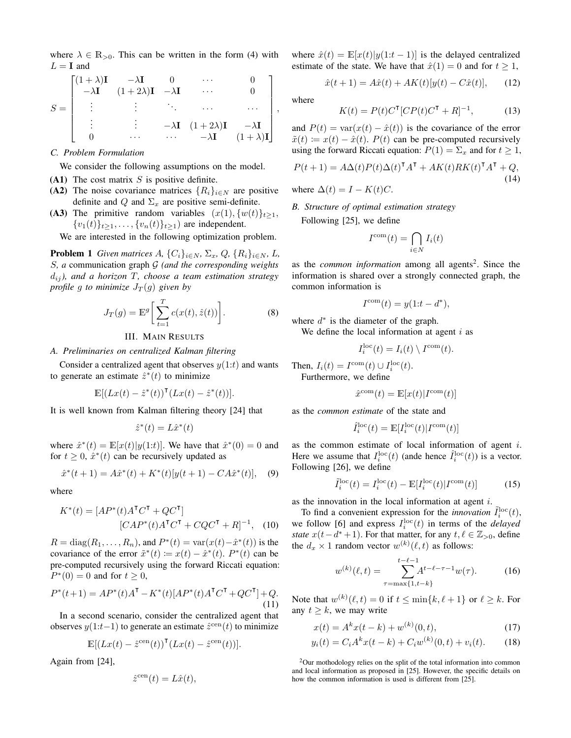where  $\lambda \in \mathbb{R}_{>0}$ . This can be written in the form (4) with  $L = I$  and

$$
S = \begin{bmatrix} (1+\lambda)\mathbf{I} & -\lambda\mathbf{I} & 0 & \cdots & 0 \\ -\lambda\mathbf{I} & (1+2\lambda)\mathbf{I} & -\lambda\mathbf{I} & \cdots & 0 \\ \vdots & \vdots & \ddots & \cdots & \cdots \\ \vdots & \vdots & -\lambda\mathbf{I} & (1+2\lambda)\mathbf{I} & -\lambda\mathbf{I} \\ 0 & \cdots & \cdots & -\lambda\mathbf{I} & (1+\lambda)\mathbf{I} \end{bmatrix},
$$

## *C. Problem Formulation*

We consider the following assumptions on the model.

- (A1) The cost matrix  $S$  is positive definite.
- (A2) The noise covariance matrices  $\{R_i\}_{i\in\mathbb{N}}$  are positive definite and Q and  $\Sigma_x$  are positive semi-definite.
- (A3) The primitive random variables  $(x(1), \{w(t)\}_{t\geq 1}$ ,  ${v_1(t)}_{t\geq 1}, \ldots, {v_n(t)}_{t\geq 1}$  are independent.

We are interested in the following optimization problem.

**Problem 1** *Given matrices* A,  $\{C_i\}_{i \in N}$ ,  $\Sigma_x$ , Q,  $\{R_i\}_{i \in N}$ , L, S*, a* communication graph G *(and the corresponding weights* dij *), and a horizon* T*, choose a team estimation strategy profile* g *to minimize*  $J_T(g)$  *given by* 

$$
J_T(g) = \mathbb{E}^g \bigg[ \sum_{t=1}^T c(x(t), \hat{z}(t)) \bigg]. \tag{8}
$$

## III. MAIN RESULTS

#### *A. Preliminaries on centralized Kalman filtering*

Consider a centralized agent that observes  $y(1:t)$  and wants to generate an estimate  $\hat{z}^*(t)$  to minimize

$$
\mathbb{E}[(Lx(t) - \hat{z}^*(t))^\mathsf{T} (Lx(t) - \hat{z}^*(t))].
$$

It is well known from Kalman filtering theory [24] that

$$
\hat{z}^*(t) = L\hat{x}^*(t)
$$

where  $\hat{x}^*(t) = \mathbb{E}[x(t)|y(1:t)]$ . We have that  $\hat{x}^*(0) = 0$  and for  $t \geq 0$ ,  $\hat{x}^*(t)$  can be recursively updated as

$$
\hat{x}^*(t+1) = A\hat{x}^*(t) + K^*(t)[y(t+1) - CA\hat{x}^*(t)], \quad (9)
$$

where

$$
K^*(t) = [AP^*(t)A^{\mathsf{T}}C^{\mathsf{T}} + QC^{\mathsf{T}}] [CAP^*(t)A^{\mathsf{T}}C^{\mathsf{T}} + CQC^{\mathsf{T}} + R]^{-1}, \quad (10)
$$

 $R = diag(R_1, \ldots, R_n)$ , and  $P^*(t) = var(x(t) - \hat{x}^*(t))$  is the covariance of the error  $\tilde{x}^*(t) := x(t) - \hat{x}^*(t)$ .  $P^*(t)$  can be pre-computed recursively using the forward Riccati equation:  $P^*(0) = 0$  and for  $t \ge 0$ ,

$$
P^*(t+1) = AP^*(t)A^{\mathsf{T}} - K^*(t)[AP^*(t)A^{\mathsf{T}}C^{\mathsf{T}} + QC^{\mathsf{T}}] + Q.
$$
\n(11)

In a second scenario, consider the centralized agent that observes  $y(1:t-1)$  to generate an estimate  $\hat{z}^{\text{cen}}(t)$  to minimize

$$
\mathbb{E}[(Lx(t) - \hat{z}^{\text{cen}}(t))^\mathsf{T} (Lx(t) - \hat{z}^{\text{cen}}(t))].
$$

Again from [24],

$$
\hat{z}^{\text{cen}}(t) = L\hat{x}(t),
$$

where  $\hat{x}(t) = \mathbb{E}[x(t)|y(1:t-1)]$  is the delayed centralized estimate of the state. We have that  $\hat{x}(1) = 0$  and for  $t \ge 1$ ,

$$
\hat{x}(t+1) = A\hat{x}(t) + AK(t)[y(t) - C\hat{x}(t)],
$$
 (12)

where

$$
K(t) = P(t)CT[CP(t)CT + R]-1,
$$
 (13)

and  $P(t) = \text{var}(x(t) - \hat{x}(t))$  is the covariance of the error  $\tilde{x}(t) := x(t) - \hat{x}(t)$ .  $P(t)$  can be pre-computed recursively using the forward Riccati equation:  $P(1) = \sum_x$  and for  $t \ge 1$ ,

$$
P(t+1) = A\Delta(t)P(t)\Delta(t)^{\mathsf{T}}A^{\mathsf{T}} + AK(t)RK(t)^{\mathsf{T}}A^{\mathsf{T}} + Q,
$$
\n(14)

where  $\Delta(t) = I - K(t)C$ .

*B. Structure of optimal estimation strategy*

Following [25], we define

$$
I^{\text{com}}(t) = \bigcap_{i \in N} I_i(t)
$$

as the *common information* among all agents<sup>2</sup>. Since the information is shared over a strongly connected graph, the common information is

$$
I^{\text{com}}(t) = y(1:t - d^*),
$$

where  $d^*$  is the diameter of the graph.

We define the local information at agent  $i$  as

$$
I_i^{\rm loc}(t) = I_i(t) \setminus I^{\rm com}(t).
$$

Then,  $I_i(t) = I^{\text{com}}(t) \cup I_i^{\text{loc}}(t)$ .

Furthermore, we define

$$
\hat{x}^{\text{com}}(t) = \mathbb{E}[x(t)|I^{\text{com}}(t)]
$$

as the *common estimate* of the state and

$$
\hat{I}_i^{\text{loc}}(t) = \mathbb{E}[I_i^{\text{loc}}(t)|I^{\text{com}}(t)]
$$

as the common estimate of local information of agent  $i$ . Here we assume that  $I_i^{\text{loc}}(t)$  (ande hence  $\hat{I}_i^{\text{loc}}(t)$ ) is a vector. Following [26], we define

$$
\tilde{I}_i^{\text{loc}}(t) = I_i^{\text{loc}}(t) - \mathbb{E}[I_i^{\text{loc}}(t)|I^{\text{com}}(t)] \tag{15}
$$

as the innovation in the local information at agent i.

To find a convenient expression for the *innovation*  $\tilde{I}_i^{\text{loc}}(t)$ , we follow [6] and express  $I_i^{\text{loc}}(t)$  in terms of the *delayed state*  $x(t - d^* + 1)$ . For that matter, for any  $t, \ell \in \mathbb{Z}_{>0}$ , define the  $d_x \times 1$  random vector  $w^{(k)}(\ell, t)$  as follows:

$$
w^{(k)}(\ell,t) = \sum_{\tau = \max\{1, t-k\}}^{t-\ell-1} A^{t-\ell-\tau-1} w(\tau). \tag{16}
$$

Note that  $w^{(k)}(\ell, t) = 0$  if  $t \le \min\{k, \ell + 1\}$  or  $\ell \ge k$ . For any  $t \geq k$ , we may write

$$
x(t) = A^k x(t - k) + w^{(k)}(0, t),
$$
\n(17)

$$
y_i(t) = C_i A^k x(t - k) + C_i w^{(k)}(0, t) + v_i(t).
$$
 (18)

 $2$ Our mothodology relies on the split of the total information into common and local information as proposed in [25]. However, the specific details on how the common information is used is different from [25].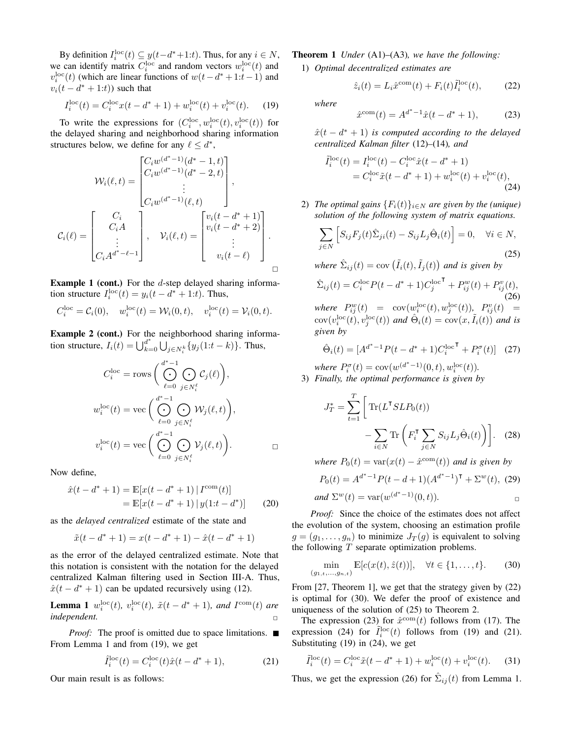By definition  $I_i^{\text{loc}}(t) \subseteq y(t-d^*+1:t)$ . Thus, for any  $i \in N$ , we can identify matrix  $C_i^{\text{loc}}$  and random vectors  $w_i^{\text{loc}}(t)$  and  $v_i^{\text{loc}}(t)$  (which are linear functions of  $w(t - d^* + 1:t-1)$ ) and  $v_i(t - d^* + 1:t)$ ) such that

$$
I_i^{\text{loc}}(t) = C_i^{\text{loc}} x(t - d^* + 1) + w_i^{\text{loc}}(t) + v_i^{\text{loc}}(t).
$$
 (19)

To write the expressions for  $(C_i^{\text{loc}}, w_i^{\text{loc}}(t), v_i^{\text{loc}}(t))$  for the delayed sharing and neighborhood sharing information structures below, we define for any  $\ell \leq d^*$ ,

$$
\mathcal{W}_{i}(\ell,t) = \begin{bmatrix} C_{i}w^{(d^{*}-1)}(d^{*}-1,t) \\ C_{i}w^{(d^{*}-1)}(d^{*}-2,t) \\ \vdots \\ C_{i}w^{(d^{*}-1)}(\ell,t) \end{bmatrix},
$$

$$
\mathcal{C}_{i}(\ell) = \begin{bmatrix} C_{i} \\ C_{i}A \\ \vdots \\ C_{i}A^{d^{*}-\ell-1} \end{bmatrix}, \quad \mathcal{V}_{i}(\ell,t) = \begin{bmatrix} v_{i}(t-d^{*}+1) \\ v_{i}(t-d^{*}+2) \\ \vdots \\ v_{i}(t-\ell) \end{bmatrix}.
$$

**Example 1 (cont.)** For the  $d$ -step delayed sharing information structure  $I_i^{\text{loc}}(t) = y_i(t - d^* + 1:t)$ . Thus,

$$
C_i^{\rm loc} = \mathcal{C}_i(0), \quad w_i^{\rm loc}(t) = \mathcal{W}_i(0,t), \quad v_i^{\rm loc}(t) = \mathcal{V}_i(0,t).
$$

Example 2 (cont.) For the neighborhood sharing information structure,  $I_i(t) = \bigcup_{k=1}^{d^*}$  $_{k=0}^{a} \bigcup_{j \in N_{i}^{k}} \{y_{j}(1:t-k)\}.$  Thus,

$$
C_i^{\text{loc}} = \text{rows} \left( \bigodot_{\ell=0}^{d^* - 1} \bigodot_{j \in N_i^{\ell}} C_j(\ell) \right),
$$
  

$$
w_i^{\text{loc}}(t) = \text{vec} \left( \bigodot_{\ell=0}^{d^* - 1} \bigodot_{j \in N_i^{\ell}} W_j(\ell, t) \right),
$$
  

$$
v_i^{\text{loc}}(t) = \text{vec} \left( \bigodot_{\ell=0}^{d^* - 1} \bigodot_{j \in N_i^{\ell}} V_j(\ell, t) \right).
$$

Now define,

$$
\hat{x}(t - d^* + 1) = \mathbb{E}[x(t - d^* + 1) | I^{\text{com}}(t)] \n= \mathbb{E}[x(t - d^* + 1) | y(1:t - d^*)]
$$
\n(20)

as the *delayed centralized* estimate of the state and

$$
\tilde{x}(t - d^* + 1) = x(t - d^* + 1) - \hat{x}(t - d^* + 1)
$$

as the error of the delayed centralized estimate. Note that this notation is consistent with the notation for the delayed centralized Kalman filtering used in Section III-A. Thus,  $\hat{x}(t - d^* + 1)$  can be updated recursively using (12).

**Lemma 1**  $w_i^{\text{loc}}(t)$ ,  $v_i^{\text{loc}}(t)$ ,  $\tilde{x}(t - d^* + 1)$ , and  $I^{\text{com}}(t)$  are *independent.* ✷

*Proof:* The proof is omitted due to space limitations. ■ From Lemma 1 and from (19), we get

$$
\hat{I}_i^{\text{loc}}(t) = C_i^{\text{loc}}(t)\hat{x}(t - d^* + 1),\tag{21}
$$

Our main result is as follows:

Theorem 1 *Under* (A1)–(A3)*, we have the following:*

1) *Optimal decentralized estimates are*

$$
\hat{z}_i(t) = L_i \hat{x}^{\text{com}}(t) + F_i(t) \tilde{I}_i^{\text{loc}}(t), \tag{22}
$$

*where*

$$
\hat{x}^{\text{com}}(t) = A^{d^* - 1}\hat{x}(t - d^* + 1),\tag{23}
$$

 $\hat{x}(t - d^* + 1)$  *is computed according to the delayed centralized Kalman filter* (12)*–*(14)*, and*

$$
\tilde{I}_i^{\text{loc}}(t) = I_i^{\text{loc}}(t) - C_i^{\text{loc}} \hat{x}(t - d^* + 1)
$$
\n
$$
= C_i^{\text{loc}} \tilde{x}(t - d^* + 1) + w_i^{\text{loc}}(t) + v_i^{\text{loc}}(t), \tag{24}
$$

2) *The optimal gains*  ${F_i(t)}_{i \in N}$  *are given by the (unique) solution of the following system of matrix equations.*

$$
\sum_{j \in N} \left[ S_{ij} F_j(t) \hat{\Sigma}_{ji}(t) - S_{ij} L_j \hat{\Theta}_i(t) \right] = 0, \quad \forall i \in N,
$$
\n(25)

where  $\hat{\Sigma}_{ij}(t) = \text{cov}(\tilde{I}_i(t), \tilde{I}_j(t))$  and is given by

$$
\hat{\Sigma}_{ij}(t) = C_i^{\text{loc}} P(t - d^* + 1) C_j^{\text{loc}}{}^{\mathsf{T}} + P_{ij}^w(t) + P_{ij}^v(t),
$$
\n(26)

 $where$   $P_{ij}^w(t) = cov(w_i^{\text{loc}}(t), w_j^{\text{loc}}(t)), P_{ij}^v(t) =$  $\text{cov}(v_i^{\text{loc}}(t), v_j^{\text{loc}}(t))$  and  $\hat{\Theta}_i(t) = \text{cov}(x, \tilde{I}_i(t))$  and is *given by*

$$
\hat{\Theta}_i(t) = [A^{d^* - 1} P(t - d^* + 1) C_i^{\text{loc}}^{\mathsf{T}} + P_i^{\sigma}(t)] \quad (27)
$$

*where*  $P_i^{\sigma}(t) = \text{cov}(w^{(d^* - 1)}(0, t), w_i^{\text{loc}}(t)).$ 

3) *Finally, the optimal performance is given by*

$$
J_T^* = \sum_{t=1}^T \left[ \text{Tr}(L^{\mathsf{T}} SLP_0(t)) - \sum_{i \in N} \text{Tr}\left(F_i^{\mathsf{T}} \sum_{j \in N} S_{ij} L_j \hat{\Theta}_i(t)\right) \right].
$$
 (28)

*where*  $P_0(t) = \text{var}(x(t) - \hat{x}^{\text{com}}(t))$  *and is given by* 

$$
P_0(t) = A^{d^* - 1} P(t - d + 1) (A^{d^* - 1})^{\mathsf{T}} + \Sigma^w(t), \tag{29}
$$

$$
and \ \Sigma^w(t) = \text{var}(w^{(d^*-1)}(0,t)).
$$

*Proof:* Since the choice of the estimates does not affect the evolution of the system, choosing an estimation profile  $g = (g_1, \ldots, g_n)$  to minimize  $J_T(g)$  is equivalent to solving the following  $T$  separate optimization problems.

$$
\min_{(t, t, ..., g_{n,t})} \mathbb{E}[c(x(t), \hat{z}(t))], \quad \forall t \in \{1, ..., t\}.
$$
 (30)

From [27, Theorem 1], we get that the strategy given by (22) is optimal for (30). We defer the proof of existence and uniqueness of the solution of (25) to Theorem 2.

 $(g$ 

The expression (23) for  $\hat{x}^{\text{com}}(t)$  follows from (17). The expression (24) for  $\tilde{I}_i^{\text{loc}}(t)$  follows from (19) and (21). Substituting (19) in (24), we get

$$
\tilde{I}_i^{\text{loc}}(t) = C_i^{\text{loc}} \tilde{x}(t - d^* + 1) + w_i^{\text{loc}}(t) + v_i^{\text{loc}}(t). \tag{31}
$$

Thus, we get the expression (26) for  $\hat{\Sigma}_{ij}(t)$  from Lemma 1.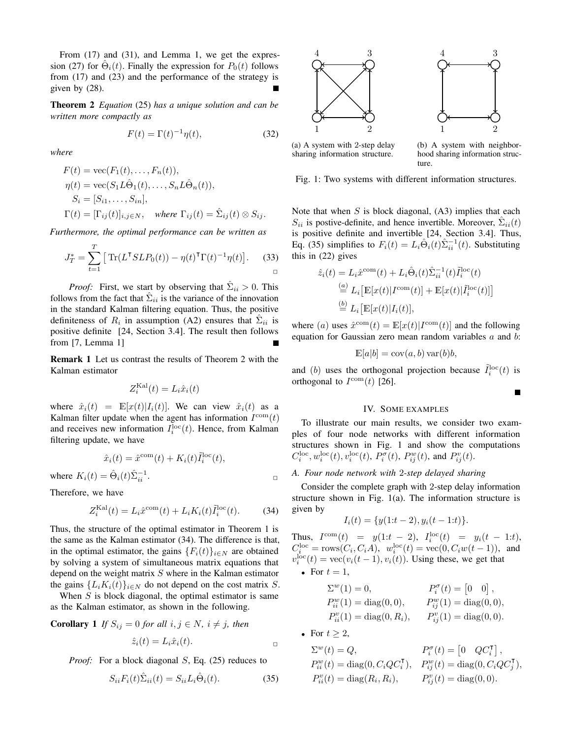From (17) and (31), and Lemma 1, we get the expression (27) for  $\hat{\Theta}_i(t)$ . Finally the expression for  $P_0(t)$  follows from (17) and (23) and the performance of the strategy is given by (28).

Theorem 2 *Equation* (25) *has a unique solution and can be written more compactly as*

$$
F(t) = \Gamma(t)^{-1} \eta(t),\tag{32}
$$

*where*

$$
F(t) = \text{vec}(F_1(t), \dots, F_n(t)),
$$
  
\n
$$
\eta(t) = \text{vec}(S_1 L \hat{\Theta}_1(t), \dots, S_n L \hat{\Theta}_n(t)),
$$
  
\n
$$
S_i = [S_{i1}, \dots, S_{in}],
$$
  
\n
$$
\Gamma(t) = [\Gamma_{ij}(t)]_{i,j \in N}, \text{ where } \Gamma_{ij}(t) = \hat{\Sigma}_{ij}(t) \otimes S_{ij}.
$$

*Furthermore, the optimal performance can be written as*

$$
J_T^* = \sum_{t=1}^T \left[ \text{Tr}(L^{\mathsf{T}} SLP_0(t)) - \eta(t)^{\mathsf{T}} \Gamma(t)^{-1} \eta(t) \right]. \tag{33}
$$

*Proof:* First, we start by observing that  $\hat{\Sigma}_{ii} > 0$ . This follows from the fact that  $\hat{\Sigma}_{ii}$  is the variance of the innovation in the standard Kalman filtering equation. Thus, the positive definiteness of  $R_i$  in assumption (A2) ensures that  $\hat{\Sigma}_{ii}$  is positive definite [24, Section 3.4]. The result then follows from [7, Lemma 1]

Remark 1 Let us contrast the results of Theorem 2 with the Kalman estimator

$$
Z_i^{\text{Kal}}(t) = L_i \hat{x}_i(t)
$$

where  $\hat{x}_i(t) = \mathbb{E}[x(t)|I_i(t)]$ . We can view  $\hat{x}_i(t)$  as a Kalman filter update when the agent has information  $I^{\text{com}}(t)$ and receives new information  $I_i^{\text{loc}}(t)$ . Hence, from Kalman filtering update, we have

$$
\hat{x}_i(t) = \hat{x}^{\text{com}}(t) + K_i(t)\tilde{I}_i^{\text{loc}}(t),
$$
 where  $K_i(t) = \hat{\Theta}_i(t)\hat{\Sigma}_{ii}^{-1}$ .

Therefore, we have

$$
Z_i^{\text{Kal}}(t) = L_i \hat{x}^{\text{com}}(t) + L_i K_i(t) \tilde{I}_i^{\text{loc}}(t). \tag{34}
$$

Thus, the structure of the optimal estimator in Theorem 1 is the same as the Kalman estimator (34). The difference is that, in the optimal estimator, the gains  ${F_i(t)}_{i \in N}$  are obtained by solving a system of simultaneous matrix equations that depend on the weight matrix  $S$  where in the Kalman estimator the gains  ${L_iK_i(t)}_{i\in N}$  do not depend on the cost matrix S.

When  $S$  is block diagonal, the optimal estimator is same as the Kalman estimator, as shown in the following.

**Corollary 1** If 
$$
S_{ij} = 0
$$
 for all  $i, j \in N$ ,  $i \neq j$ , then

$$
\hat{z}_i(t) = L_i \hat{x}_i(t).
$$

*Proof:* For a block diagonal S, Eq. (25) reduces to

$$
S_{ii}F_i(t)\hat{\Sigma}_{ii}(t) = S_{ii}L_i\hat{\Theta}_i(t). \tag{35}
$$



(a) A system with 2-step delay sharing information structure. (b) A system with neighborhood sharing information structure.

Fig. 1: Two systems with different information structures.

Note that when  $S$  is block diagonal,  $(A3)$  implies that each  $S_{ii}$  is postive-definite, and hence invertible. Moreover,  $\hat{\Sigma}_{ii}(t)$ is positive definite and invertible [24, Section 3.4]. Thus, Eq. (35) simplifies to  $F_i(t) = L_i \hat{\Theta}_i(t) \hat{\Sigma}_{ii}^{-1}(t)$ . Substituting this in (22) gives

$$
\hat{z}_i(t) = L_i \hat{x}^{\text{com}}(t) + L_i \hat{\Theta}_i(t) \hat{\Sigma}_{ii}^{-1}(t) \tilde{I}_i^{\text{loc}}(t)
$$
  
\n
$$
\stackrel{(a)}{=} L_i \left[ \mathbb{E}[x(t)|I^{\text{com}}(t)] + \mathbb{E}[x(t)|\tilde{I}_i^{\text{loc}}(t)] \right]
$$
  
\n
$$
\stackrel{(b)}{=} L_i \left[ \mathbb{E}[x(t)|I_i(t)],
$$

where (a) uses  $\hat{x}^{\text{com}}(t) = \mathbb{E}[x(t)|I^{\text{com}}(t)]$  and the following equation for Gaussian zero mean random variables  $a$  and  $b$ :

$$
\mathbb{E}[a|b] = \text{cov}(a, b) \, \text{var}(b)b,
$$

and (b) uses the orthogonal projection because  $\tilde{I}_i^{\text{loc}}(t)$  is orthogonal to  $I^{\text{com}}(t)$  [26].

# IV. SOME EXAMPLES

 $\blacksquare$ 

To illustrate our main results, we consider two examples of four node networks with different information structures shown in Fig. 1 and show the computations  $C_i^{\text{loc}}, w_i^{\text{loc}}(t), v_i^{\text{loc}}(t), P_i^{\sigma}(t), P_{ij}^w(t)$ , and  $P_{ij}^v(t)$ .

## *A. Four node network with* 2*-step delayed sharing*

Consider the complete graph with 2-step delay information structure shown in Fig. 1(a). The information structure is given by

$$
I_i(t) = \{y(1:t-2), y_i(t-1:t)\}.
$$

Thus,  $I^{\text{com}}(t) = y(1:t-2), I^{\text{loc}}_i(t) = y_i(t-1:t),$  $C_i^{\text{loc}} = \text{rows}(C_i, C_i A), \ \ w_i^{\text{loc}}(t) = \text{vec}(0, C_i w(t-1)), \ \text{and}$  $v_i^{\text{loc}}(t) = \text{vec}(v_i(t-1), v_i(t))$ . Using these, we get that • For  $t = 1$ ,

$$
\Sigma^w(1) = 0, \qquad P_i^{\sigma}(t) = \begin{bmatrix} 0 & 0 \end{bmatrix},
$$

$$
P_{ii}^{w}(1) = \text{diag}(0, 0), \qquad P_{ij}^{w}(1) = \text{diag}(0, 0),
$$
  

$$
P_{ii}^{v}(1) = \text{diag}(0, R_i), \qquad P_{ij}^{v}(1) = \text{diag}(0, 0).
$$

• For  $t > 2$ ,

$$
\Sigma^{w}(t) = Q, \qquad P_i^{\sigma}(t) = [0 \quad QC_i^{\mathsf{T}}],
$$
  
\n
$$
P_{ii}^{w}(t) = \text{diag}(0, C_i Q C_i^{\mathsf{T}}), \quad P_{ij}^{w}(t) = \text{diag}(0, C_i Q C_j^{\mathsf{T}}),
$$
  
\n
$$
P_{ii}^{v}(t) = \text{diag}(R_i, R_i), \qquad P_{ij}^{v}(t) = \text{diag}(0, 0).
$$